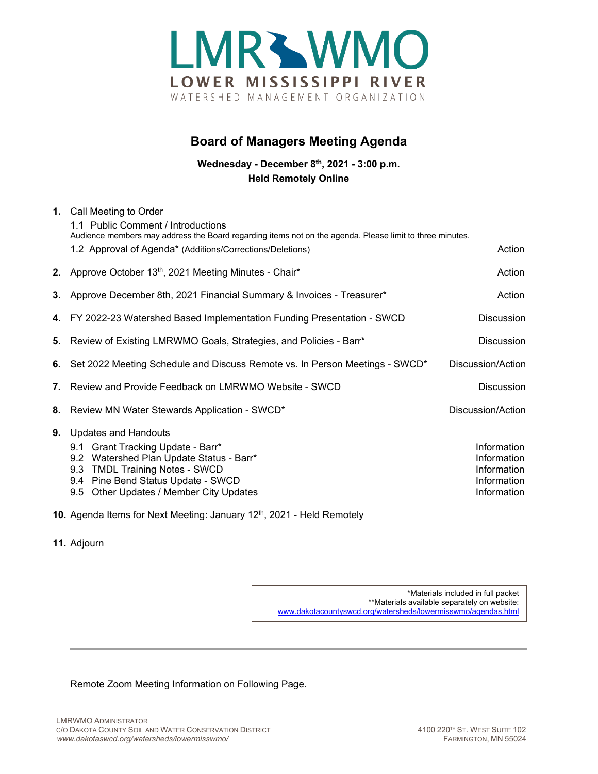

## **Board of Managers Meeting Agenda**

**Wednesday - December 8th, 2021 - 3:00 p.m. Held Remotely Online**

| 1. Call Meeting to Order<br>1.1 Public Comment / Introductions                                                                                                                                                                               |                                                                                                          |
|----------------------------------------------------------------------------------------------------------------------------------------------------------------------------------------------------------------------------------------------|----------------------------------------------------------------------------------------------------------|
| 1.2 Approval of Agenda* (Additions/Corrections/Deletions)                                                                                                                                                                                    | Action                                                                                                   |
| 2. Approve October 13th, 2021 Meeting Minutes - Chair*                                                                                                                                                                                       | Action                                                                                                   |
| 3. Approve December 8th, 2021 Financial Summary & Invoices - Treasurer*                                                                                                                                                                      | Action                                                                                                   |
| 4. FY 2022-23 Watershed Based Implementation Funding Presentation - SWCD                                                                                                                                                                     | <b>Discussion</b>                                                                                        |
| 5. Review of Existing LMRWMO Goals, Strategies, and Policies - Barr*                                                                                                                                                                         | <b>Discussion</b>                                                                                        |
| 6. Set 2022 Meeting Schedule and Discuss Remote vs. In Person Meetings - SWCD*                                                                                                                                                               | Discussion/Action                                                                                        |
| Review and Provide Feedback on LMRWMO Website - SWCD<br>7.                                                                                                                                                                                   | <b>Discussion</b>                                                                                        |
| 8. Review MN Water Stewards Application - SWCD*                                                                                                                                                                                              | Discussion/Action                                                                                        |
| <b>Updates and Handouts</b><br>9.1 Grant Tracking Update - Barr*<br>9.2 Watershed Plan Update Status - Barr*<br><b>TMDL Training Notes - SWCD</b><br>9.3<br>9.4 Pine Bend Status Update - SWCD<br>Other Updates / Member City Updates<br>9.5 | Information<br>Information<br>Information<br>Information<br>Information                                  |
|                                                                                                                                                                                                                                              | Audience members may address the Board regarding items not on the agenda. Please limit to three minutes. |

- **10.** Agenda Items for Next Meeting: January 12<sup>th</sup>, 2021 Held Remotely
- **11.** Adjourn

\*Materials included in full packet \*\*Materials available separately on website: [www.dakotacountyswcd.org/watersheds/lowermisswmo/agendas.html](http://www.dakotacountyswcd.org/watersheds/lowermisswmo/agendas.html)

Remote Zoom Meeting Information on Following Page.